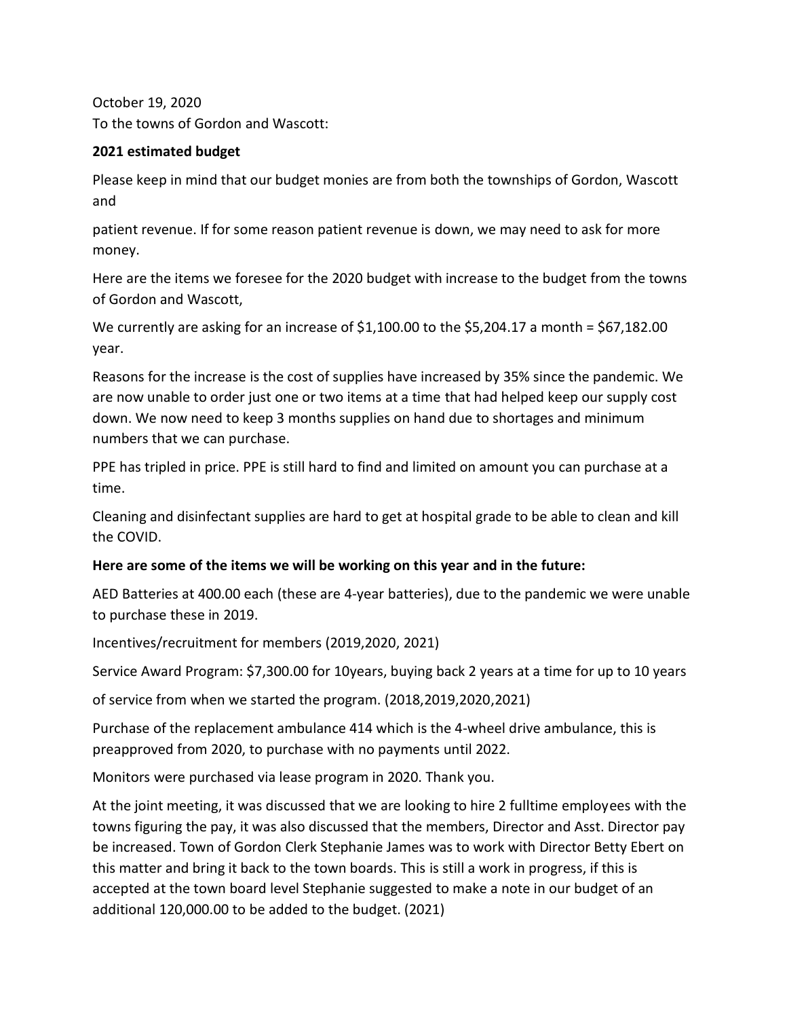October 19, 2020 To the towns of Gordon and Wascott:

## **2021 estimated budget**

Please keep in mind that our budget monies are from both the townships of Gordon, Wascott and

patient revenue. If for some reason patient revenue is down, we may need to ask for more money.

Here are the items we foresee for the 2020 budget with increase to the budget from the towns of Gordon and Wascott,

We currently are asking for an increase of \$1,100.00 to the \$5,204.17 a month = \$67,182.00 year.

Reasons for the increase is the cost of supplies have increased by 35% since the pandemic. We are now unable to order just one or two items at a time that had helped keep our supply cost down. We now need to keep 3 months supplies on hand due to shortages and minimum numbers that we can purchase.

PPE has tripled in price. PPE is still hard to find and limited on amount you can purchase at a time.

Cleaning and disinfectant supplies are hard to get at hospital grade to be able to clean and kill the COVID.

## **Here are some of the items we will be working on this year and in the future:**

AED Batteries at 400.00 each (these are 4-year batteries), due to the pandemic we were unable to purchase these in 2019.

Incentives/recruitment for members (2019,2020, 2021)

Service Award Program: \$7,300.00 for 10years, buying back 2 years at a time for up to 10 years

of service from when we started the program. (2018,2019,2020,2021)

Purchase of the replacement ambulance 414 which is the 4-wheel drive ambulance, this is preapproved from 2020, to purchase with no payments until 2022.

Monitors were purchased via lease program in 2020. Thank you.

At the joint meeting, it was discussed that we are looking to hire 2 fulltime employees with the towns figuring the pay, it was also discussed that the members, Director and Asst. Director pay be increased. Town of Gordon Clerk Stephanie James was to work with Director Betty Ebert on this matter and bring it back to the town boards. This is still a work in progress, if this is accepted at the town board level Stephanie suggested to make a note in our budget of an additional 120,000.00 to be added to the budget. (2021)